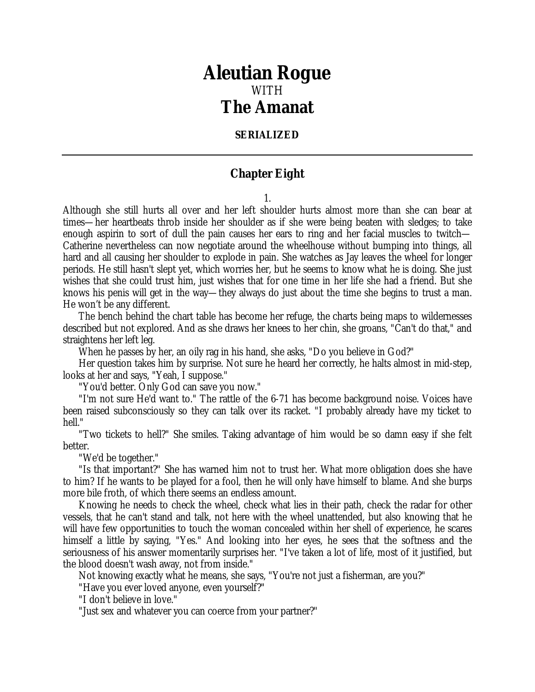## *Aleutian Rogue* WITH *The Amanat*

## **SERIALIZED**

## **Chapter Eight**

1.

Although she still hurts all over and her left shoulder hurts almost more than she can bear at times—her heartbeats throb inside her shoulder as if she were being beaten with sledges; to take enough aspirin to sort of dull the pain causes her ears to ring and her facial muscles to twitch— Catherine nevertheless can now negotiate around the wheelhouse without bumping into things, all hard and all causing her shoulder to explode in pain. She watches as Jay leaves the wheel for longer periods. He still hasn't slept yet, which worries her, but he seems to know what he is doing. She just wishes that she could trust him, just wishes that for one time in her life she had a friend. But she knows his penis will get in the way—they always do just about the time she begins to trust a man. He won't be any different.

The bench behind the chart table has become her refuge, the charts being maps to wildernesses described but not explored. And as she draws her knees to her chin, she groans, "Can't do that," and straightens her left leg.

When he passes by her, an oily rag in his hand, she asks, "Do you believe in God?"

Her question takes him by surprise. Not sure he heard her correctly, he halts almost in mid-step, looks at her and says, "Yeah, I suppose."

"You'd better. Only God can save you now."

"I'm not sure He'd want to." The rattle of the 6-71 has become background noise. Voices have been raised subconsciously so they can talk over its racket. "I probably already have my ticket to hell."

"Two tickets to hell?" She smiles. Taking advantage of him would be so damn easy if she felt better.

"We'd be together."

"Is that important?" She has warned him not to trust her. What more obligation does she have to him? If he wants to be played for a fool, then he will only have himself to blame. And she burps more bile froth, of which there seems an endless amount.

Knowing he needs to check the wheel, check what lies in their path, check the radar for other vessels, that he can't stand and talk, not here with the wheel unattended, but also knowing that he will have few opportunities to touch the woman concealed within her shell of experience, he scares himself a little by saying, "Yes." And looking into her eyes, he sees that the softness and the seriousness of his answer momentarily surprises her. "I've taken a lot of life, most of it justified, but the blood doesn't wash away, not from inside."

Not knowing exactly what he means, she says, "You're not just a fisherman, are you?"

"Have you ever loved anyone, even yourself?"

"I don't believe in love."

"Just sex and whatever you can coerce from your partner?"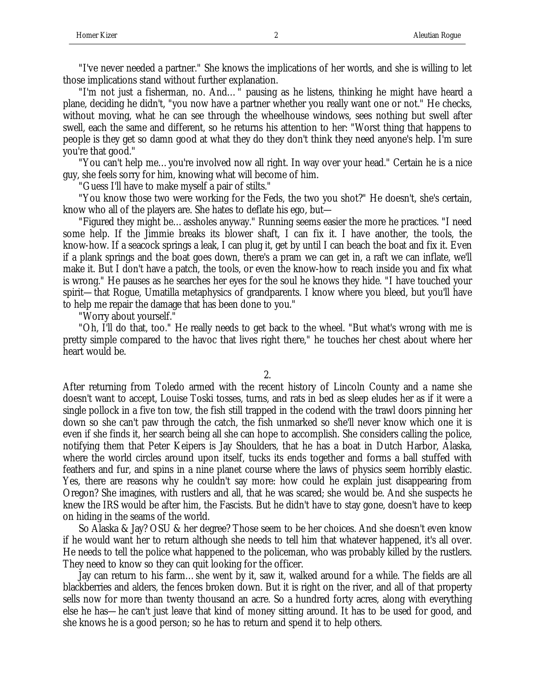"I've never needed a partner." She knows the implications of her words, and she is willing to let those implications stand without further explanation.

"I'm not just a fisherman, no. And…" pausing as he listens, thinking he might have heard a plane, deciding he didn't, "you now have a partner whether you really want one or not." He checks, without moving, what he can see through the wheelhouse windows, sees nothing but swell after swell, each the same and different, so he returns his attention to her: "Worst thing that happens to people is they get so damn good at what they do they don't think they need anyone's help. I'm sure you're that good."

"You can't help me…you're involved now all right. In way over your head." Certain he is a nice guy, she feels sorry for him, knowing what will become of him.

"Guess I'll have to make myself a pair of stilts."

"You know those two were working for the Feds, the two you shot?" He doesn't, she's certain, know who all of the players are. She hates to deflate his ego, but—

"Figured they might be…assholes anyway." Running seems easier the more he practices. "I need some help. If the Jimmie breaks its blower shaft, I can fix it. I have another, the tools, the know-how. If a seacock springs a leak, I can plug it, get by until I can beach the boat and fix it. Even if a plank springs and the boat goes down, there's a pram we can get in, a raft we can inflate, we'll make it. But I don't have a patch, the tools, or even the know-how to reach inside you and fix what is wrong." He pauses as he searches her eyes for the soul he knows they hide. "I have touched your spirit—that Rogue, Umatilla metaphysics of grandparents. I know where you bleed, but you'll have to help me repair the damage that has been done to you."

"Worry about yourself."

"Oh, I'll do that, too." He really needs to get back to the wheel. "But what's wrong with me is pretty simple compared to the havoc that lives right there," he touches her chest about where her heart would be.

2.

After returning from Toledo armed with the recent history of Lincoln County and a name she doesn't want to accept, Louise Toski tosses, turns, and rats in bed as sleep eludes her as if it were a single pollock in a five ton tow, the fish still trapped in the codend with the trawl doors pinning her down so she can't paw through the catch, the fish unmarked so she'll never know which one it is even if she finds it, her search being all she can hope to accomplish. She considers calling the police, notifying them that Peter Keipers is Jay Shoulders, that he has a boat in Dutch Harbor, Alaska, where the world circles around upon itself, tucks its ends together and forms a ball stuffed with feathers and fur, and spins in a nine planet course where the laws of physics seem horribly elastic. Yes, there are reasons why he couldn't say more: how could he explain just disappearing from Oregon? She imagines, with rustlers and all, that he was scared; she would be. And she suspects he knew the IRS would be after him, the Fascists. But he didn't have to stay gone, doesn't have to keep on hiding in the seams of the world.

So Alaska & Jay? OSU & her degree? Those seem to be her choices. And she doesn't even know if he would want her to return although she needs to tell him that whatever happened, it's all over. He needs to tell the police what happened to the policeman, who was probably killed by the rustlers. They need to know so they can quit looking for the officer.

Jay can return to his farm…she went by it, saw it, walked around for a while. The fields are all blackberries and alders, the fences broken down. But it is right on the river, and all of that property sells now for more than twenty thousand an acre. So a hundred forty acres, along with everything else he has—he can't just leave that kind of money sitting around. It has to be used for good, and she knows he is a good person; so he has to return and spend it to help others.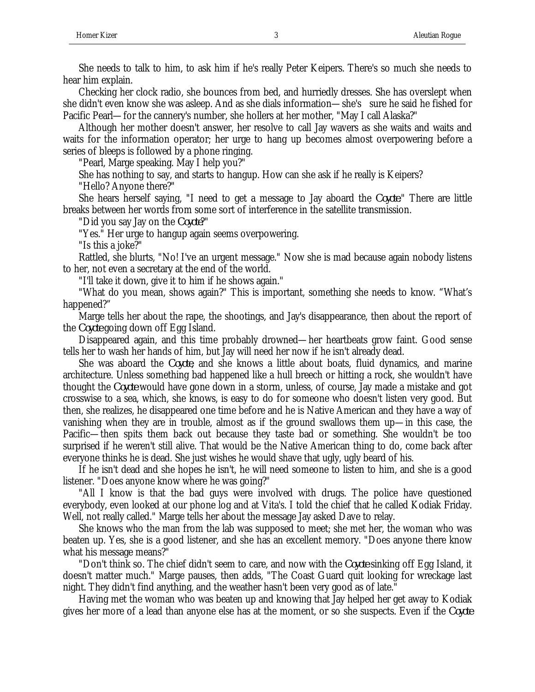She needs to talk to him, to ask him if he's really Peter Keipers. There's so much she needs to hear him explain.

Checking her clock radio, she bounces from bed, and hurriedly dresses. She has overslept when she didn't even know she was asleep. And as she dials information—she's sure he said he fished for Pacific Pearl—for the cannery's number, she hollers at her mother, "May I call Alaska?"

Although her mother doesn't answer, her resolve to call Jay wavers as she waits and waits and waits for the information operator; her urge to hang up becomes almost overpowering before a series of bleeps is followed by a phone ringing.

"Pearl, Marge speaking. May I help you?"

She has nothing to say, and starts to hangup. How can she ask if he really is Keipers?

"Hello? Anyone there?"

She hears herself saying, "I need to get a message to Jay aboard the *Coyote*." There are little breaks between her words from some sort of interference in the satellite transmission.

"Did you say Jay on the *Coyote*?"

"Yes." Her urge to hangup again seems overpowering.

"Is this a joke?"

Rattled, she blurts, "No! I've an urgent message." Now she is mad because again nobody listens to her, not even a secretary at the end of the world.

"I'll take it down, give it to him if he shows again."

"What do you mean, shows again?" This is important, something she needs to know. "What's happened?"

Marge tells her about the rape, the shootings, and Jay's disappearance, then about the report of the *Coyote* going down off Egg Island.

Disappeared again, and this time probably drowned—her heartbeats grow faint. Good sense tells her to wash her hands of him, but Jay will need her now if he isn't already dead.

She was aboard the *Coyote*, and she knows a little about boats, fluid dynamics, and marine architecture. Unless something bad happened like a hull breech or hitting a rock, she wouldn't have thought the *Coyote* would have gone down in a storm, unless, of course, Jay made a mistake and got crosswise to a sea, which, she knows, is easy to do for someone who doesn't listen very good. But then, she realizes, he disappeared one time before and he is Native American and they have a way of vanishing when they are in trouble, almost as if the ground swallows them up—in this case, the Pacific—then spits them back out because they taste bad or something. She wouldn't be too surprised if he weren't still alive. That would be the Native American thing to do, come back after everyone thinks he is dead. She just wishes he would shave that ugly, ugly beard of his.

If he isn't dead and she hopes he isn't, he will need someone to listen to him, and she is a good listener. "Does anyone know where he was going?"

"All I know is that the bad guys were involved with drugs. The police have questioned everybody, even looked at our phone log and at Vita's. I told the chief that he called Kodiak Friday. Well, not really called." Marge tells her about the message Jay asked Dave to relay.

She knows who the man from the lab was supposed to meet; she met her, the woman who was beaten up. Yes, she is a good listener, and she has an excellent memory. "Does anyone there know what his message means?"

"Don't think so. The chief didn't seem to care, and now with the *Coyote* sinking off Egg Island, it doesn't matter much." Marge pauses, then adds, "The Coast Guard quit looking for wreckage last night. They didn't find anything, and the weather hasn't been very good as of late."

Having met the woman who was beaten up and knowing that Jay helped her get away to Kodiak gives her more of a lead than anyone else has at the moment, or so she suspects. Even if the *Coyote*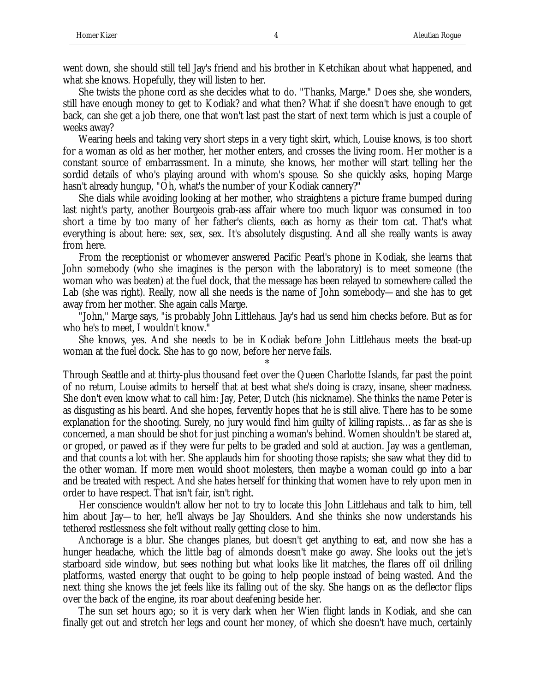went down, she should still tell Jay's friend and his brother in Ketchikan about what happened, and what she knows. Hopefully, they will listen to her.

She twists the phone cord as she decides what to do. "Thanks, Marge." Does she, she wonders, still have enough money to get to Kodiak? and what then? What if she doesn't have enough to get back, can she get a job there, one that won't last past the start of next term which is just a couple of weeks away?

Wearing heels and taking very short steps in a very tight skirt, which, Louise knows, is too short for a woman as old as her mother, her mother enters, and crosses the living room. Her mother is a constant source of embarrassment. In a minute, she knows, her mother will start telling her the sordid details of who's playing around with whom's spouse. So she quickly asks, hoping Marge hasn't already hungup, "Oh, what's the number of your Kodiak cannery?"

She dials while avoiding looking at her mother, who straightens a picture frame bumped during last night's party, another Bourgeois grab-ass affair where too much liquor was consumed in too short a time by too many of her father's clients, each as horny as their tom cat. That's what everything is about here: sex, sex, sex. It's absolutely disgusting. And all she really wants is away from here.

From the receptionist or whomever answered Pacific Pearl's phone in Kodiak, she learns that John somebody (who she imagines is the person with the laboratory) is to meet someone (the woman who was beaten) at the fuel dock, that the message has been relayed to somewhere called the Lab (she was right). Really, now all she needs is the name of John somebody—and she has to get away from her mother. She again calls Marge.

"John," Marge says, "is probably John Littlehaus. Jay's had us send him checks before. But as for who he's to meet, I wouldn't know."

She knows, yes. And she needs to be in Kodiak before John Littlehaus meets the beat-up woman at the fuel dock. She has to go now, before her nerve fails.

\*

Through Seattle and at thirty-plus thousand feet over the Queen Charlotte Islands, far past the point of no return, Louise admits to herself that at best what she's doing is crazy, insane, sheer madness. She don't even know what to call him: Jay, Peter, Dutch (his nickname). She thinks the name Peter is as disgusting as his beard. And she hopes, fervently hopes that he is still alive. There has to be some explanation for the shooting. Surely, no jury would find him guilty of killing rapists…as far as she is concerned, a man should be shot for just pinching a woman's behind. Women shouldn't be stared at, or groped, or pawed as if they were fur pelts to be graded and sold at auction. Jay was a gentleman, and that counts a lot with her. She applauds him for shooting those rapists; she saw what they did to the other woman. If more men would shoot molesters, then maybe a woman could go into a bar and be treated with respect. And she hates herself for thinking that women have to rely upon men in order to have respect. That isn't fair, isn't right.

Her conscience wouldn't allow her not to try to locate this John Littlehaus and talk to him, tell him about Jay—to her, he'll always be Jay Shoulders. And she thinks she now understands his tethered restlessness she felt without really getting close to him.

Anchorage is a blur. She changes planes, but doesn't get anything to eat, and now she has a hunger headache, which the little bag of almonds doesn't make go away. She looks out the jet's starboard side window, but sees nothing but what looks like lit matches, the flares off oil drilling platforms, wasted energy that ought to be going to help people instead of being wasted. And the next thing she knows the jet feels like its falling out of the sky. She hangs on as the deflector flips over the back of the engine, its roar about deafening beside her.

The sun set hours ago; so it is very dark when her Wien flight lands in Kodiak, and she can finally get out and stretch her legs and count her money, of which she doesn't have much, certainly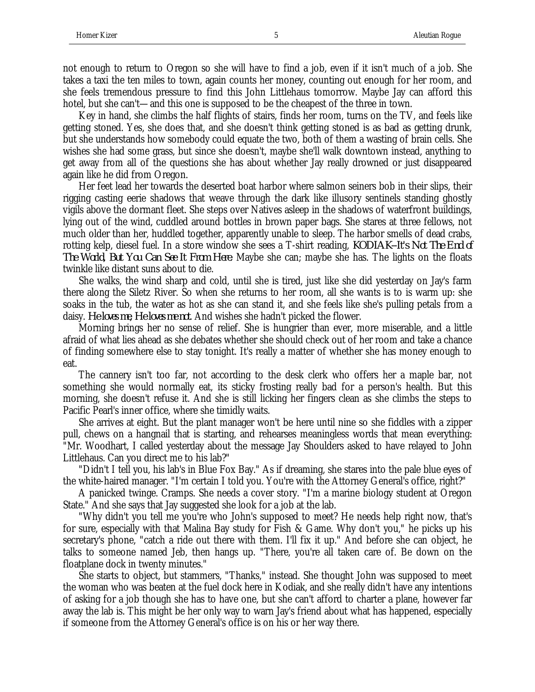not enough to return to Oregon so she will have to find a job, even if it isn't much of a job. She takes a taxi the ten miles to town, again counts her money, counting out enough for her room, and she feels tremendous pressure to find this John Littlehaus tomorrow. Maybe Jay can afford this hotel, but she can't—and this one is supposed to be the cheapest of the three in town.

Key in hand, she climbs the half flights of stairs, finds her room, turns on the TV, and feels like getting stoned. Yes, she does that, and she doesn't think getting stoned is as bad as getting drunk, but she understands how somebody could equate the two, both of them a wasting of brain cells. She wishes she had some grass, but since she doesn't, maybe she'll walk downtown instead, anything to get away from all of the questions she has about whether Jay really drowned or just disappeared again like he did from Oregon.

Her feet lead her towards the deserted boat harbor where salmon seiners bob in their slips, their rigging casting eerie shadows that weave through the dark like illusory sentinels standing ghostly vigils above the dormant fleet. She steps over Natives asleep in the shadows of waterfront buildings, lying out of the wind, cuddled around bottles in brown paper bags. She stares at three fellows, not much older than her, huddled together, apparently unable to sleep. The harbor smells of dead crabs, rotting kelp, diesel fuel. In a store window she sees a T-shirt reading, *KODIAK--It's Not The End of The World, But You Can See It From Here*. Maybe she can; maybe she has. The lights on the floats twinkle like distant suns about to die.

She walks, the wind sharp and cold, until she is tired, just like she did yesterday on Jay's farm there along the Siletz River. So when she returns to her room, all she wants is to is warm up: she soaks in the tub, the water as hot as she can stand it, and she feels like she's pulling petals from a daisy. *He loves me, He loves me not*. And wishes she hadn't picked the flower.

Morning brings her no sense of relief. She is hungrier than ever, more miserable, and a little afraid of what lies ahead as she debates whether she should check out of her room and take a chance of finding somewhere else to stay tonight. It's really a matter of whether she has money enough to eat.

The cannery isn't too far, not according to the desk clerk who offers her a maple bar, not something she would normally eat, its sticky frosting really bad for a person's health. But this morning, she doesn't refuse it. And she is still licking her fingers clean as she climbs the steps to Pacific Pearl's inner office, where she timidly waits.

She arrives at eight. But the plant manager won't be here until nine so she fiddles with a zipper pull, chews on a hangnail that is starting, and rehearses meaningless words that mean everything: "Mr. Woodhart, I called yesterday about the message Jay Shoulders asked to have relayed to John Littlehaus. Can you direct me to his lab?"

"Didn't I tell you, his lab's in Blue Fox Bay." As if dreaming, she stares into the pale blue eyes of the white-haired manager. "I'm certain I told you. You're with the Attorney General's office, right?"

A panicked twinge. Cramps. She needs a cover story. "I'm a marine biology student at Oregon State." And she says that Jay suggested she look for a job at the lab.

"Why didn't you tell me you're who John's supposed to meet? He needs help right now, that's for sure, especially with that Malina Bay study for Fish & Game. Why don't you," he picks up his secretary's phone, "catch a ride out there with them. I'll fix it up." And before she can object, he talks to someone named Jeb, then hangs up. "There, you're all taken care of. Be down on the floatplane dock in twenty minutes."

She starts to object, but stammers, "Thanks," instead. She thought John was supposed to meet the woman who was beaten at the fuel dock here in Kodiak, and she really didn't have any intentions of asking for a job though she has to have one, but she can't afford to charter a plane, however far away the lab is. This might be her only way to warn Jay's friend about what has happened, especially if someone from the Attorney General's office is on his or her way there.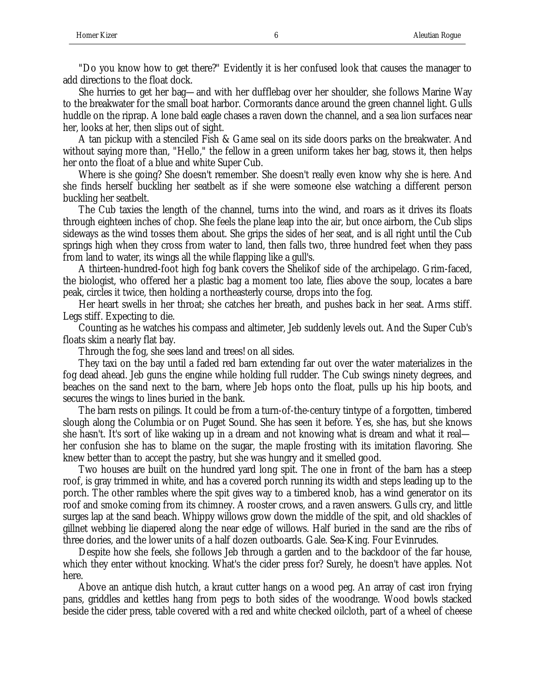"Do you know how to get there?" Evidently it is her confused look that causes the manager to add directions to the float dock.

She hurries to get her bag—and with her dufflebag over her shoulder, she follows Marine Way to the breakwater for the small boat harbor. Cormorants dance around the green channel light. Gulls huddle on the riprap. A lone bald eagle chases a raven down the channel, and a sea lion surfaces near her, looks at her, then slips out of sight.

A tan pickup with a stenciled Fish & Game seal on its side doors parks on the breakwater. And without saying more than, "Hello," the fellow in a green uniform takes her bag, stows it, then helps her onto the float of a blue and white Super Cub.

Where is she going? She doesn't remember. She doesn't really even know why she is here. And she finds herself buckling her seatbelt as if she were someone else watching a different person buckling her seatbelt.

The Cub taxies the length of the channel, turns into the wind, and roars as it drives its floats through eighteen inches of chop. She feels the plane leap into the air, but once airborn, the Cub slips sideways as the wind tosses them about. She grips the sides of her seat, and is all right until the Cub springs high when they cross from water to land, then falls two, three hundred feet when they pass from land to water, its wings all the while flapping like a gull's.

A thirteen-hundred-foot high fog bank covers the Shelikof side of the archipelago. Grim-faced, the biologist, who offered her a plastic bag a moment too late, flies above the soup, locates a bare peak, circles it twice, then holding a northeasterly course, drops into the fog.

Her heart swells in her throat; she catches her breath, and pushes back in her seat. Arms stiff. Legs stiff. Expecting to die.

Counting as he watches his compass and altimeter, Jeb suddenly levels out. And the Super Cub's floats skim a nearly flat bay.

Through the fog, she sees land and trees! on all sides.

They taxi on the bay until a faded red barn extending far out over the water materializes in the fog dead ahead. Jeb guns the engine while holding full rudder. The Cub swings ninety degrees, and beaches on the sand next to the barn, where Jeb hops onto the float, pulls up his hip boots, and secures the wings to lines buried in the bank.

The barn rests on pilings. It could be from a turn-of-the-century tintype of a forgotten, timbered slough along the Columbia or on Puget Sound. She has seen it before. Yes, she has, but she knows she hasn't. It's sort of like waking up in a dream and not knowing what is dream and what it real her confusion she has to blame on the sugar, the maple frosting with its imitation flavoring. She knew better than to accept the pastry, but she was hungry and it smelled good.

Two houses are built on the hundred yard long spit. The one in front of the barn has a steep roof, is gray trimmed in white, and has a covered porch running its width and steps leading up to the porch. The other rambles where the spit gives way to a timbered knob, has a wind generator on its roof and smoke coming from its chimney. A rooster crows, and a raven answers. Gulls cry, and little surges lap at the sand beach. Whippy willows grow down the middle of the spit, and old shackles of gillnet webbing lie diapered along the near edge of willows. Half buried in the sand are the ribs of three dories, and the lower units of a half dozen outboards. Gale. Sea-King. Four Evinrudes.

Despite how she feels, she follows Jeb through a garden and to the backdoor of the far house, which they enter without knocking. What's the cider press for? Surely, he doesn't have apples. Not here.

Above an antique dish hutch, a kraut cutter hangs on a wood peg. An array of cast iron frying pans, griddles and kettles hang from pegs to both sides of the woodrange. Wood bowls stacked beside the cider press, table covered with a red and white checked oilcloth, part of a wheel of cheese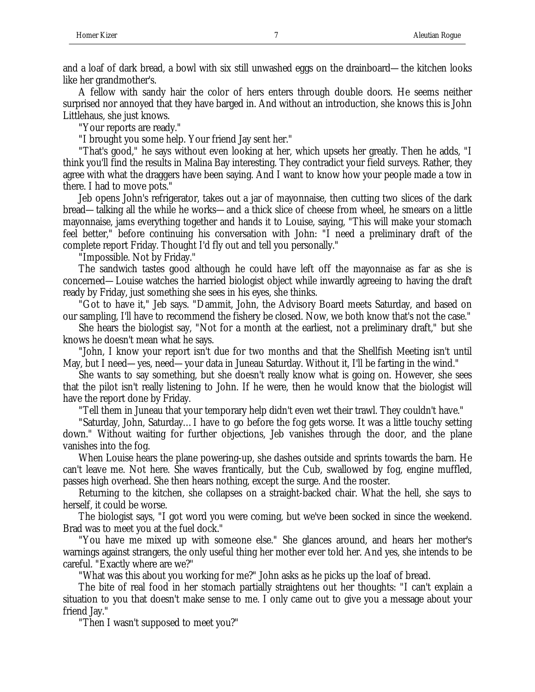and a loaf of dark bread, a bowl with six still unwashed eggs on the drainboard—the kitchen looks like her grandmother's.

A fellow with sandy hair the color of hers enters through double doors. He seems neither surprised nor annoyed that they have barged in. And without an introduction, she knows this is John Littlehaus, she just knows.

"Your reports are ready."

"I brought you some help. Your friend Jay sent her."

"That's good," he says without even looking at her, which upsets her greatly. Then he adds, "I think you'll find the results in Malina Bay interesting. They contradict your field surveys. Rather, they agree with what the draggers have been saying. And I want to know how your people made a tow in there. I had to move pots."

Jeb opens John's refrigerator, takes out a jar of mayonnaise, then cutting two slices of the dark bread—talking all the while he works—and a thick slice of cheese from wheel, he smears on a little mayonnaise, jams everything together and hands it to Louise, saying, "This will make your stomach feel better," before continuing his conversation with John: "I need a preliminary draft of the complete report Friday. Thought I'd fly out and tell you personally."

"Impossible. Not by Friday."

The sandwich tastes good although he could have left off the mayonnaise as far as she is concerned—Louise watches the harried biologist object while inwardly agreeing to having the draft ready by Friday, just something she sees in his eyes, she thinks.

"Got to have it," Jeb says. "Dammit, John, the Advisory Board meets Saturday, and based on our sampling, I'll have to recommend the fishery be closed. Now, we both know that's not the case."

She hears the biologist say, "Not for a month at the earliest, not a preliminary draft," but she knows he doesn't mean what he says.

"John, I know your report isn't due for two months and that the Shellfish Meeting isn't until May, but I need—yes, need—your data in Juneau Saturday. Without it, I'll be farting in the wind."

She wants to say something, but she doesn't really know what is going on. However, she sees that the pilot isn't really listening to John. If he were, then he would know that the biologist will have the report done by Friday.

"Tell them in Juneau that your temporary help didn't even wet their trawl. They couldn't have."

"Saturday, John, Saturday…I have to go before the fog gets worse. It was a little touchy setting down." Without waiting for further objections, Jeb vanishes through the door, and the plane vanishes into the fog.

When Louise hears the plane powering-up, she dashes outside and sprints towards the barn. He can't leave me. Not here. She waves frantically, but the Cub, swallowed by fog, engine muffled, passes high overhead. She then hears nothing, except the surge. And the rooster.

Returning to the kitchen, she collapses on a straight-backed chair. What the hell, she says to herself, it could be worse.

The biologist says, "I got word you were coming, but we've been socked in since the weekend. Brad was to meet you at the fuel dock."

"You have me mixed up with someone else." She glances around, and hears her mother's warnings against strangers, the only useful thing her mother ever told her. And yes, she intends to be careful. "Exactly where are we?"

"What was this about you working for me?" John asks as he picks up the loaf of bread.

The bite of real food in her stomach partially straightens out her thoughts: "I can't explain a situation to you that doesn't make sense to me. I only came out to give you a message about your friend Jay."

"Then I wasn't supposed to meet you?"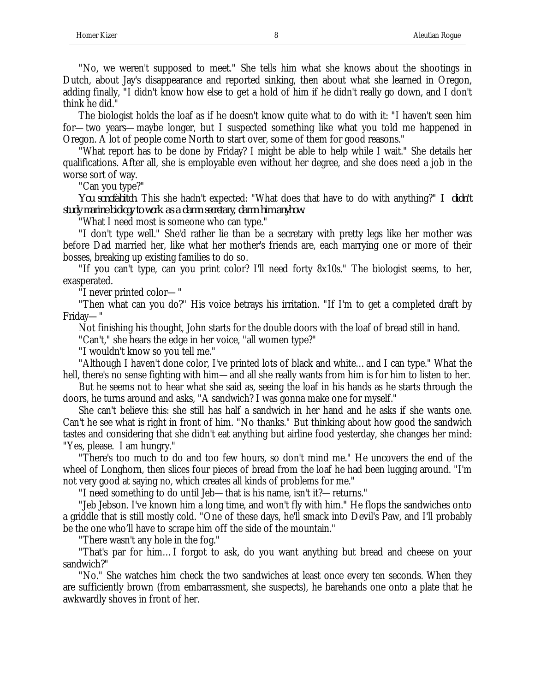"No, we weren't supposed to meet." She tells him what she knows about the shootings in Dutch, about Jay's disappearance and reported sinking, then about what she learned in Oregon, adding finally, "I didn't know how else to get a hold of him if he didn't really go down, and I don't think he did."

The biologist holds the loaf as if he doesn't know quite what to do with it: "I haven't seen him for—two years—maybe longer, but I suspected something like what you told me happened in Oregon. A lot of people come North to start over, some of them for good reasons."

"What report has to be done by Friday? I might be able to help while I wait." She details her qualifications. After all, she is employable even without her degree, and she does need a job in the worse sort of way.

"Can you type?"

*You sonofabitch*. This she hadn't expected: "What does that have to do with anything?" *I didn't study marine biology to work as a damn secretary, damn him anyhow*.

"What I need most is someone who can type."

"I don't type well." She'd rather lie than be a secretary with pretty legs like her mother was before Dad married her, like what her mother's friends are, each marrying one or more of their bosses, breaking up existing families to do so.

"If you can't type, can you print color? I'll need forty 8x10s." The biologist seems, to her, exasperated.

"I never printed color—"

"Then what can you do?" His voice betrays his irritation. "If I'm to get a completed draft by Friday—"

Not finishing his thought, John starts for the double doors with the loaf of bread still in hand.

"Can't," she hears the edge in her voice, "all women type?"

"I wouldn't know so you tell me."

"Although I haven't done color, I've printed lots of black and white…and I can type." What the hell, there's no sense fighting with him—and all she really wants from him is for him to listen to her.

But he seems not to hear what she said as, seeing the loaf in his hands as he starts through the doors, he turns around and asks, "A sandwich? I was gonna make one for myself."

She can't believe this: she still has half a sandwich in her hand and he asks if she wants one. Can't he see what is right in front of him. "No thanks." But thinking about how good the sandwich tastes and considering that she didn't eat anything but airline food yesterday, she changes her mind: "Yes, please. I am hungry."

"There's too much to do and too few hours, so don't mind me." He uncovers the end of the wheel of Longhorn, then slices four pieces of bread from the loaf he had been lugging around. "I'm not very good at saying no, which creates all kinds of problems for me."

"I need something to do until Jeb—that is his name, isn't it?—returns."

"Jeb Jebson. I've known him a long time, and won't fly with him." He flops the sandwiches onto a griddle that is still mostly cold. "One of these days, he'll smack into Devil's Paw, and I'll probably be the one who'll have to scrape him off the side of the mountain."

"There wasn't any hole in the fog."

"That's par for him…I forgot to ask, do you want anything but bread and cheese on your sandwich?"

"No." She watches him check the two sandwiches at least once every ten seconds. When they are sufficiently brown (from embarrassment, she suspects), he barehands one onto a plate that he awkwardly shoves in front of her.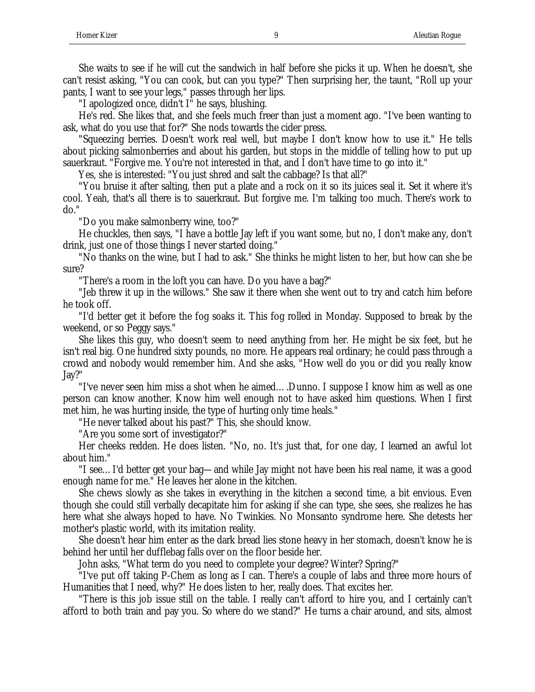She waits to see if he will cut the sandwich in half before she picks it up. When he doesn't, she can't resist asking, "You can cook, but can you type?" Then surprising her, the taunt, "Roll up your pants, I want to see your legs," passes through her lips.

"I apologized once, didn't I" he says, blushing.

He's red. She likes that, and she feels much freer than just a moment ago. "I've been wanting to ask, what do you use that for?" She nods towards the cider press.

"Squeezing berries. Doesn't work real well, but maybe I don't know how to use it." He tells about picking salmonberries and about his garden, but stops in the middle of telling how to put up sauerkraut. "Forgive me. You're not interested in that, and I don't have time to go into it."

Yes, she is interested: "You just shred and salt the cabbage? Is that all?"

"You bruise it after salting, then put a plate and a rock on it so its juices seal it. Set it where it's cool. Yeah, that's all there is to sauerkraut. But forgive me. I'm talking too much. There's work to do."

"Do you make salmonberry wine, too?"

He chuckles, then says, "I have a bottle Jay left if you want some, but no, I don't make any, don't drink, just one of those things I never started doing."

"No thanks on the wine, but I had to ask." She thinks he might listen to her, but how can she be sure?

"There's a room in the loft you can have. Do you have a bag?"

"Jeb threw it up in the willows." She saw it there when she went out to try and catch him before he took off.

"I'd better get it before the fog soaks it. This fog rolled in Monday. Supposed to break by the weekend, or so Peggy says."

She likes this guy, who doesn't seem to need anything from her. He might be six feet, but he isn't real big. One hundred sixty pounds, no more. He appears real ordinary; he could pass through a crowd and nobody would remember him. And she asks, "How well do you or did you really know Jay?"

"I've never seen him miss a shot when he aimed….Dunno. I suppose I know him as well as one person can know another. Know him well enough not to have asked him questions. When I first met him, he was hurting inside, the type of hurting only time heals."

"He never talked about his past?" This, she should know.

"Are you some sort of investigator?"

Her cheeks redden. He does listen. "No, no. It's just that, for one day, I learned an awful lot about him."

"I see…I'd better get your bag—and while Jay might not have been his real name, it was a good enough name for me." He leaves her alone in the kitchen.

She chews slowly as she takes in everything in the kitchen a second time, a bit envious. Even though she could still verbally decapitate him for asking if she can type, she sees, she realizes he has here what she always hoped to have. No Twinkies. No Monsanto syndrome here. She detests her mother's plastic world, with its imitation reality.

She doesn't hear him enter as the dark bread lies stone heavy in her stomach, doesn't know he is behind her until her dufflebag falls over on the floor beside her.

John asks, "What term do you need to complete your degree? Winter? Spring?"

"I've put off taking P-Chem as long as I can. There's a couple of labs and three more hours of Humanities that I need, why?" He does listen to her, really does. That excites her.

"There is this job issue still on the table. I really can't afford to hire you, and I certainly can't afford to both train and pay you. So where do we stand?" He turns a chair around, and sits, almost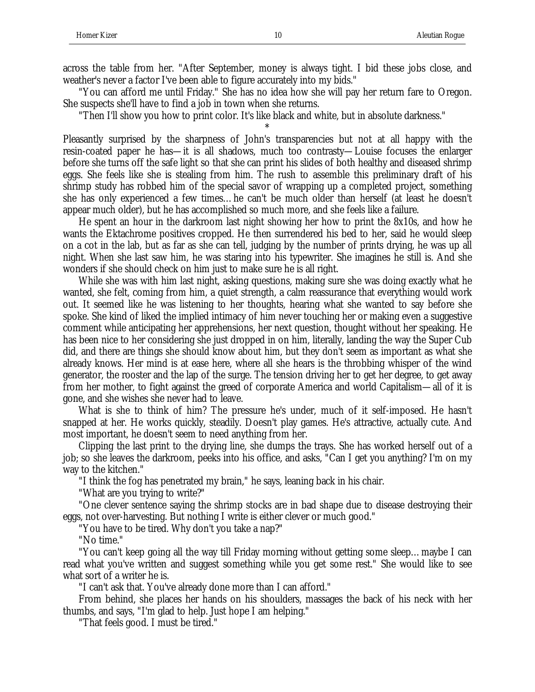across the table from her. "After September, money is always tight. I bid these jobs close, and weather's never a factor I've been able to figure accurately into my bids."

"You can afford me until Friday." She has no idea how she will pay her return fare to Oregon. She suspects she'll have to find a job in town when she returns.

"Then I'll show you how to print color. It's like black and white, but in absolute darkness."

\* Pleasantly surprised by the sharpness of John's transparencies but not at all happy with the resin-coated paper he has—it is all shadows, much too contrasty—Louise focuses the enlarger before she turns off the safe light so that she can print his slides of both healthy and diseased shrimp eggs. She feels like she is stealing from him. The rush to assemble this preliminary draft of his shrimp study has robbed him of the special savor of wrapping up a completed project, something she has only experienced a few times…he can't be much older than herself (at least he doesn't appear much older), but he has accomplished so much more, and she feels like a failure.

He spent an hour in the darkroom last night showing her how to print the 8x10s, and how he wants the Ektachrome positives cropped. He then surrendered his bed to her, said he would sleep on a cot in the lab, but as far as she can tell, judging by the number of prints drying, he was up all night. When she last saw him, he was staring into his typewriter. She imagines he still is. And she wonders if she should check on him just to make sure he is all right.

While she was with him last night, asking questions, making sure she was doing exactly what he wanted, she felt, coming from him, a quiet strength, a calm reassurance that everything would work out. It seemed like he was listening to her thoughts, hearing what she wanted to say before she spoke. She kind of liked the implied intimacy of him never touching her or making even a suggestive comment while anticipating her apprehensions, her next question, thought without her speaking. He has been nice to her considering she just dropped in on him, literally, landing the way the Super Cub did, and there are things she should know about him, but they don't seem as important as what she already knows. Her mind is at ease here, where all she hears is the throbbing whisper of the wind generator, the rooster and the lap of the surge. The tension driving her to get her degree, to get away from her mother, to fight against the greed of corporate America and world Capitalism—all of it is gone, and she wishes she never had to leave.

What is she to think of him? The pressure he's under, much of it self-imposed. He hasn't snapped at her. He works quickly, steadily. Doesn't play games. He's attractive, actually cute. And most important, he doesn't seem to need anything from her.

Clipping the last print to the drying line, she dumps the trays. She has worked herself out of a job; so she leaves the darkroom, peeks into his office, and asks, "Can I get you anything? I'm on my way to the kitchen."

"I think the fog has penetrated my brain," he says, leaning back in his chair.

"What are you trying to write?"

"One clever sentence saying the shrimp stocks are in bad shape due to disease destroying their eggs, not over-harvesting. But nothing I write is either clever or much good."

"You have to be tired. Why don't you take a nap?"

"No time."

"You can't keep going all the way till Friday morning without getting some sleep…maybe I can read what you've written and suggest something while you get some rest." She would like to see what sort of a writer he is.

"I can't ask that. You've already done more than I can afford."

From behind, she places her hands on his shoulders, massages the back of his neck with her thumbs, and says, "I'm glad to help. Just hope I am helping."

"That feels good. I must be tired."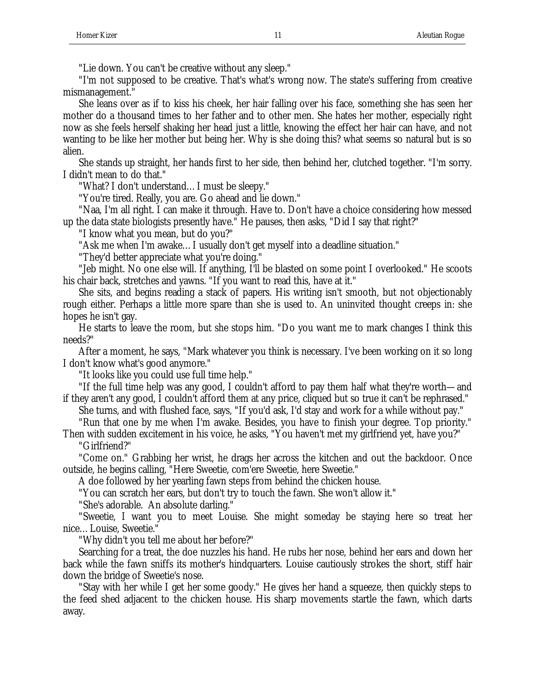"Lie down. You can't be creative without any sleep."

"I'm not supposed to be creative. That's what's wrong now. The state's suffering from creative mismanagement."

She leans over as if to kiss his cheek, her hair falling over his face, something she has seen her mother do a thousand times to her father and to other men. She hates her mother, especially right now as she feels herself shaking her head just a little, knowing the effect her hair can have, and not wanting to be like her mother but being her. Why is she doing this? what seems so natural but is so alien.

She stands up straight, her hands first to her side, then behind her, clutched together. "I'm sorry. I didn't mean to do that."

"What? I don't understand…I must be sleepy."

"You're tired. Really, you are. Go ahead and lie down."

"Naa, I'm all right. I can make it through. Have to. Don't have a choice considering how messed up the data state biologists presently have." He pauses, then asks, "Did I say that right?"

"I know what you mean, but do you?"

"Ask me when I'm awake…I usually don't get myself into a deadline situation."

"They'd better appreciate what you're doing."

"Jeb might. No one else will. If anything, I'll be blasted on some point I overlooked." He scoots his chair back, stretches and yawns. "If you want to read this, have at it."

She sits, and begins reading a stack of papers. His writing isn't smooth, but not objectionably rough either. Perhaps a little more spare than she is used to. An uninvited thought creeps in: she hopes he isn't gay.

He starts to leave the room, but she stops him. "Do you want me to mark changes I think this needs?"

After a moment, he says, "Mark whatever you think is necessary. I've been working on it so long I don't know what's good anymore."

"It looks like you could use full time help."

"If the full time help was any good, I couldn't afford to pay them half what they're worth—and if they aren't any good, I couldn't afford them at any price, cliqued but so true it can't be rephrased."

She turns, and with flushed face, says, "If you'd ask, I'd stay and work for a while without pay." "Run that one by me when I'm awake. Besides, you have to finish your degree. Top priority."

Then with sudden excitement in his voice, he asks, "You haven't met my girlfriend yet, have you?" "Girlfriend?"

"Come on." Grabbing her wrist, he drags her across the kitchen and out the backdoor. Once outside, he begins calling, "Here Sweetie, com'ere Sweetie, here Sweetie."

A doe followed by her yearling fawn steps from behind the chicken house.

"You can scratch her ears, but don't try to touch the fawn. She won't allow it."

"She's adorable. An absolute darling."

"Sweetie, I want you to meet Louise. She might someday be staying here so treat her nice…Louise, Sweetie."

"Why didn't you tell me about her before?"

Searching for a treat, the doe nuzzles his hand. He rubs her nose, behind her ears and down her back while the fawn sniffs its mother's hindquarters. Louise cautiously strokes the short, stiff hair down the bridge of Sweetie's nose.

"Stay with her while I get her some goody." He gives her hand a squeeze, then quickly steps to the feed shed adjacent to the chicken house. His sharp movements startle the fawn, which darts away.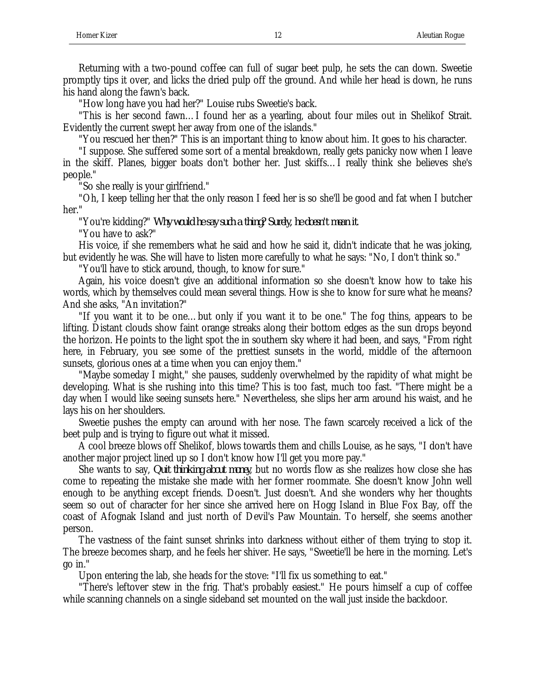Returning with a two-pound coffee can full of sugar beet pulp, he sets the can down. Sweetie promptly tips it over, and licks the dried pulp off the ground. And while her head is down, he runs his hand along the fawn's back.

"How long have you had her?" Louise rubs Sweetie's back.

"This is her second fawn…I found her as a yearling, about four miles out in Shelikof Strait. Evidently the current swept her away from one of the islands."

"You rescued her then?" This is an important thing to know about him. It goes to his character.

"I suppose. She suffered some sort of a mental breakdown, really gets panicky now when I leave in the skiff. Planes, bigger boats don't bother her. Just skiffs…I really think she believes she's people."

"So she really is your girlfriend."

"Oh, I keep telling her that the only reason I feed her is so she'll be good and fat when I butcher her."

"You're kidding?" *Why would he say such a thing? Surely, he doesn't mean it*.

"You have to ask?"

His voice, if she remembers what he said and how he said it, didn't indicate that he was joking, but evidently he was. She will have to listen more carefully to what he says: "No, I don't think so."

"You'll have to stick around, though, to know for sure."

Again, his voice doesn't give an additional information so she doesn't know how to take his words, which by themselves could mean several things. How is she to know for sure what he means? And she asks, "An invitation?"

"If you want it to be one…but only if you want it to be one." The fog thins, appears to be lifting. Distant clouds show faint orange streaks along their bottom edges as the sun drops beyond the horizon. He points to the light spot the in southern sky where it had been, and says, "From right here, in February, you see some of the prettiest sunsets in the world, middle of the afternoon sunsets, glorious ones at a time when you can enjoy them."

"Maybe someday I might," she pauses, suddenly overwhelmed by the rapidity of what might be developing. What is she rushing into this time? This is too fast, much too fast. "There might be a day when I would like seeing sunsets here." Nevertheless, she slips her arm around his waist, and he lays his on her shoulders.

Sweetie pushes the empty can around with her nose. The fawn scarcely received a lick of the beet pulp and is trying to figure out what it missed.

A cool breeze blows off Shelikof, blows towards them and chills Louise, as he says, "I don't have another major project lined up so I don't know how I'll get you more pay."

She wants to say, *Quit thinking about money*, but no words flow as she realizes how close she has come to repeating the mistake she made with her former roommate. She doesn't know John well enough to be anything except friends. Doesn't. Just doesn't. And she wonders why her thoughts seem so out of character for her since she arrived here on Hogg Island in Blue Fox Bay, off the coast of Afognak Island and just north of Devil's Paw Mountain. To herself, she seems another person.

The vastness of the faint sunset shrinks into darkness without either of them trying to stop it. The breeze becomes sharp, and he feels her shiver. He says, "Sweetie'll be here in the morning. Let's go in."

Upon entering the lab, she heads for the stove: "I'll fix us something to eat."

"There's leftover stew in the frig. That's probably easiest." He pours himself a cup of coffee while scanning channels on a single sideband set mounted on the wall just inside the backdoor.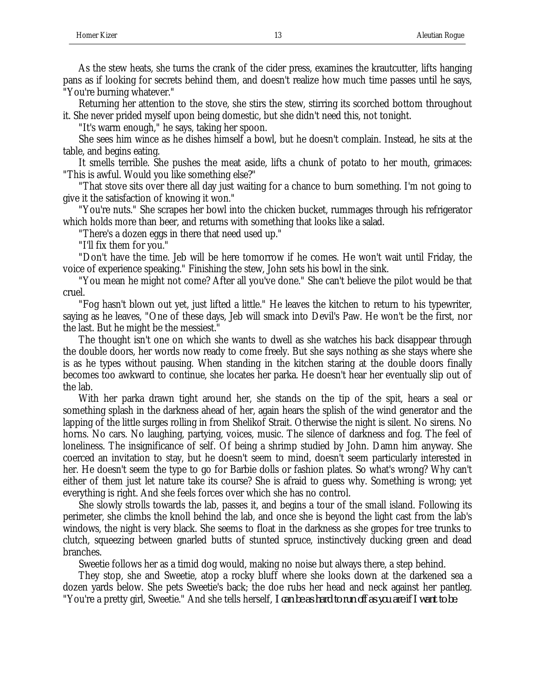"You're burning whatever." Returning her attention to the stove, she stirs the stew, stirring its scorched bottom throughout it. She never prided myself upon being domestic, but she didn't need this, not tonight.

"It's warm enough," he says, taking her spoon.

She sees him wince as he dishes himself a bowl, but he doesn't complain. Instead, he sits at the table, and begins eating.

It smells terrible. She pushes the meat aside, lifts a chunk of potato to her mouth, grimaces: "This is awful. Would you like something else?"

"That stove sits over there all day just waiting for a chance to burn something. I'm not going to give it the satisfaction of knowing it won."

"You're nuts." She scrapes her bowl into the chicken bucket, rummages through his refrigerator which holds more than beer, and returns with something that looks like a salad.

"There's a dozen eggs in there that need used up."

"I'll fix them for you."

"Don't have the time. Jeb will be here tomorrow if he comes. He won't wait until Friday, the voice of experience speaking." Finishing the stew, John sets his bowl in the sink.

"You mean he might not come? After all you've done." She can't believe the pilot would be that cruel.

"Fog hasn't blown out yet, just lifted a little." He leaves the kitchen to return to his typewriter, saying as he leaves, "One of these days, Jeb will smack into Devil's Paw. He won't be the first, nor the last. But he might be the messiest."

The thought isn't one on which she wants to dwell as she watches his back disappear through the double doors, her words now ready to come freely. But she says nothing as she stays where she is as he types without pausing. When standing in the kitchen staring at the double doors finally becomes too awkward to continue, she locates her parka. He doesn't hear her eventually slip out of the lab.

With her parka drawn tight around her, she stands on the tip of the spit, hears a seal or something splash in the darkness ahead of her, again hears the splish of the wind generator and the lapping of the little surges rolling in from Shelikof Strait. Otherwise the night is silent. No sirens. No horns. No cars. No laughing, partying, voices, music. The silence of darkness and fog. The feel of loneliness. The insignificance of self. Of being a shrimp studied by John. Damn him anyway. She coerced an invitation to stay, but he doesn't seem to mind, doesn't seem particularly interested in her. He doesn't seem the type to go for Barbie dolls or fashion plates. So what's wrong? Why can't either of them just let nature take its course? She is afraid to guess why. Something is wrong; yet everything is right. And she feels forces over which she has no control.

She slowly strolls towards the lab, passes it, and begins a tour of the small island. Following its perimeter, she climbs the knoll behind the lab, and once she is beyond the light cast from the lab's windows, the night is very black. She seems to float in the darkness as she gropes for tree trunks to clutch, squeezing between gnarled butts of stunted spruce, instinctively ducking green and dead branches.

Sweetie follows her as a timid dog would, making no noise but always there, a step behind.

They stop, she and Sweetie, atop a rocky bluff where she looks down at the darkened sea a dozen yards below. She pets Sweetie's back; the doe rubs her head and neck against her pantleg. "You're a pretty girl, Sweetie." And she tells herself, *I can be as hard to run off as you are if I want to be*.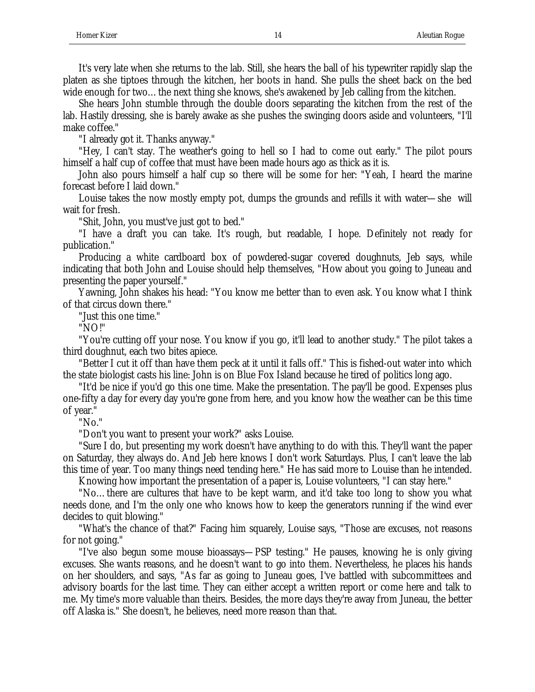It's very late when she returns to the lab. Still, she hears the ball of his typewriter rapidly slap the platen as she tiptoes through the kitchen, her boots in hand. She pulls the sheet back on the bed wide enough for two…the next thing she knows, she's awakened by Jeb calling from the kitchen.

She hears John stumble through the double doors separating the kitchen from the rest of the lab. Hastily dressing, she is barely awake as she pushes the swinging doors aside and volunteers, "I'll make coffee."

"I already got it. Thanks anyway."

"Hey, I can't stay. The weather's going to hell so I had to come out early." The pilot pours himself a half cup of coffee that must have been made hours ago as thick as it is.

John also pours himself a half cup so there will be some for her: "Yeah, I heard the marine forecast before I laid down."

Louise takes the now mostly empty pot, dumps the grounds and refills it with water—she will wait for fresh.

"Shit, John, you must've just got to bed."

"I have a draft you can take. It's rough, but readable, I hope. Definitely not ready for publication."

Producing a white cardboard box of powdered-sugar covered doughnuts, Jeb says, while indicating that both John and Louise should help themselves, "How about you going to Juneau and presenting the paper yourself."

Yawning, John shakes his head: "You know me better than to even ask. You know what I think of that circus down there."

"Just this one time."

"NO!"

"You're cutting off your nose. You know if you go, it'll lead to another study." The pilot takes a third doughnut, each two bites apiece.

"Better I cut it off than have them peck at it until it falls off." This is fished-out water into which the state biologist casts his line: John is on Blue Fox Island because he tired of politics long ago.

"It'd be nice if you'd go this one time. Make the presentation. The pay'll be good. Expenses plus one-fifty a day for every day you're gone from here, and you know how the weather can be this time of year."

"No."

"Don't you want to present your work?" asks Louise.

"Sure I do, but presenting my work doesn't have anything to do with this. They'll want the paper on Saturday, they always do. And Jeb here knows I don't work Saturdays. Plus, I can't leave the lab this time of year. Too many things need tending here." He has said more to Louise than he intended.

Knowing how important the presentation of a paper is, Louise volunteers, "I can stay here."

"No…there are cultures that have to be kept warm, and it'd take too long to show you what needs done, and I'm the only one who knows how to keep the generators running if the wind ever decides to quit blowing."

"What's the chance of that?" Facing him squarely, Louise says, "Those are excuses, not reasons for not going."

"I've also begun some mouse bioassays—PSP testing." He pauses, knowing he is only giving excuses. She wants reasons, and he doesn't want to go into them. Nevertheless, he places his hands on her shoulders, and says, "As far as going to Juneau goes, I've battled with subcommittees and advisory boards for the last time. They can either accept a written report or come here and talk to me. My time's more valuable than theirs. Besides, the more days they're away from Juneau, the better off Alaska is." She doesn't, he believes, need more reason than that.